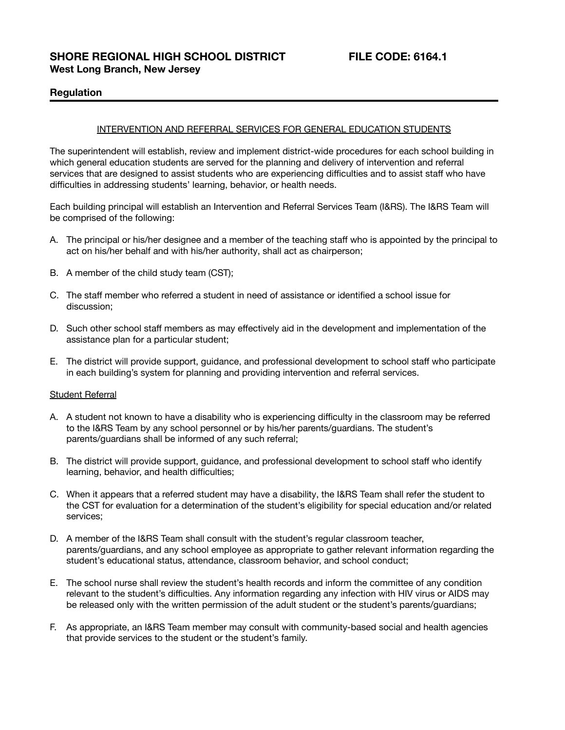# **Regulation**

#### INTERVENTION AND REFERRAL SERVICES FOR GENERAL EDUCATION STUDENTS

The superintendent will establish, review and implement district-wide procedures for each school building in which general education students are served for the planning and delivery of intervention and referral services that are designed to assist students who are experiencing difficulties and to assist staff who have difficulties in addressing students' learning, behavior, or health needs.

Each building principal will establish an Intervention and Referral Services Team (I&RS). The I&RS Team will be comprised of the following:

- A. The principal or his/her designee and a member of the teaching staff who is appointed by the principal to act on his/her behalf and with his/her authority, shall act as chairperson;
- B. A member of the child study team (CST);
- C. The staff member who referred a student in need of assistance or identified a school issue for discussion;
- D. Such other school staff members as may effectively aid in the development and implementation of the assistance plan for a particular student;
- E. The district will provide support, guidance, and professional development to school staff who participate in each building's system for planning and providing intervention and referral services.

#### Student Referral

- A. A student not known to have a disability who is experiencing difficulty in the classroom may be referred to the I&RS Team by any school personnel or by his/her parents/guardians. The student's parents/guardians shall be informed of any such referral;
- B. The district will provide support, guidance, and professional development to school staff who identify learning, behavior, and health difficulties;
- C. When it appears that a referred student may have a disability, the I&RS Team shall refer the student to the CST for evaluation for a determination of the student's eligibility for special education and/or related services;
- D. A member of the I&RS Team shall consult with the student's regular classroom teacher, parents/guardians, and any school employee as appropriate to gather relevant information regarding the student's educational status, attendance, classroom behavior, and school conduct;
- E. The school nurse shall review the student's health records and inform the committee of any condition relevant to the student's difficulties. Any information regarding any infection with HIV virus or AIDS may be released only with the written permission of the adult student or the student's parents/guardians;
- F. As appropriate, an I&RS Team member may consult with community-based social and health agencies that provide services to the student or the student's family.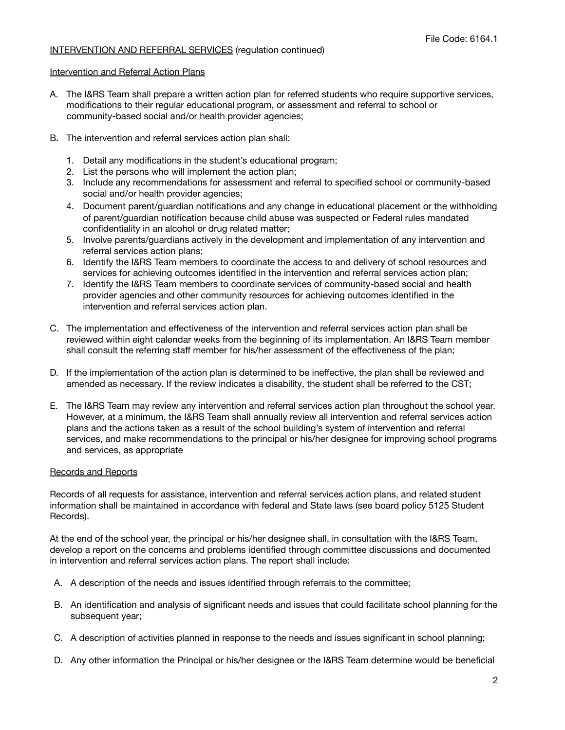# INTERVENTION AND REFERRAL SERVICES (regulation continued)

# Intervention and Referral Action Plans

- A. The I&RS Team shall prepare a written action plan for referred students who require supportive services, modifications to their regular educational program, or assessment and referral to school or community-based social and/or health provider agencies;
- B. The intervention and referral services action plan shall:
	- 1. Detail any modifications in the student's educational program;
	- 2. List the persons who will implement the action plan;
	- 3. Include any recommendations for assessment and referral to specified school or community-based social and/or health provider agencies;
	- 4. Document parent/guardian notifications and any change in educational placement or the withholding of parent/guardian notification because child abuse was suspected or Federal rules mandated confidentiality in an alcohol or drug related matter;
	- 5. Involve parents/guardians actively in the development and implementation of any intervention and referral services action plans;
	- 6. Identify the I&RS Team members to coordinate the access to and delivery of school resources and services for achieving outcomes identified in the intervention and referral services action plan;
	- 7. Identify the I&RS Team members to coordinate services of community-based social and health provider agencies and other community resources for achieving outcomes identified in the intervention and referral services action plan.
- C. The implementation and effectiveness of the intervention and referral services action plan shall be reviewed within eight calendar weeks from the beginning of its implementation. An I&RS Team member shall consult the referring staff member for his/her assessment of the effectiveness of the plan;
- D. If the implementation of the action plan is determined to be ineffective, the plan shall be reviewed and amended as necessary. If the review indicates a disability, the student shall be referred to the CST;
- E. The I&RS Team may review any intervention and referral services action plan throughout the school year. However, at a minimum, the I&RS Team shall annually review all intervention and referral services action plans and the actions taken as a result of the school building's system of intervention and referral services, and make recommendations to the principal or his/her designee for improving school programs and services, as appropriate

# Records and Reports

Records of all requests for assistance, intervention and referral services action plans, and related student information shall be maintained in accordance with federal and State laws (see board policy 5125 Student Records).

At the end of the school year, the principal or his/her designee shall, in consultation with the I&RS Team, develop a report on the concerns and problems identified through committee discussions and documented in intervention and referral services action plans. The report shall include:

- A. A description of the needs and issues identified through referrals to the committee;
- B. An identification and analysis of significant needs and issues that could facilitate school planning for the subsequent year;
- C. A description of activities planned in response to the needs and issues significant in school planning;
- D. Any other information the Principal or his/her designee or the I&RS Team determine would be beneficial